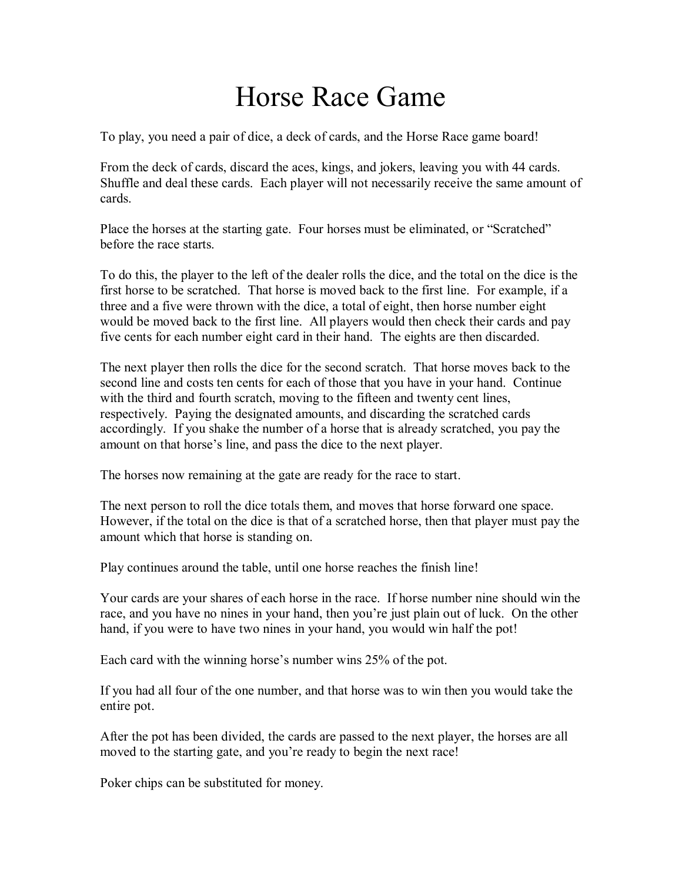## Horse Race Game

To play, you need a pair of dice, a deck of cards, and the Horse Race game board!

From the deck of cards, discard the aces, kings, and jokers, leaving you with 44 cards. Shuffle and deal these cards. Each player will not necessarily receive the same amount of cards.

Place the horses at the starting gate. Four horses must be eliminated, or "Scratched" before the race starts.

To do this, the player to the left of the dealer rolls the dice, and the total on the dice is the first horse to be scratched. That horse is moved back to the first line. For example, if a three and a five were thrown with the dice, a total of eight, then horse number eight would be moved back to the first line. All players would then check their cards and pay five cents for each number eight card in their hand. The eights are then discarded.

The next player then rolls the dice for the second scratch. That horse moves back to the second line and costs ten cents for each of those that you have in your hand. Continue with the third and fourth scratch, moving to the fifteen and twenty cent lines, respectively. Paying the designated amounts, and discarding the scratched cards accordingly. If you shake the number of a horse that is already scratched, you pay the amount on that horse's line, and pass the dice to the next player.

The horses now remaining at the gate are ready for the race to start.

The next person to roll the dice totals them, and moves that horse forward one space. However, if the total on the dice is that of a scratched horse, then that player must pay the amount which that horse is standing on.

Play continues around the table, until one horse reaches the finish line!

Your cards are your shares of each horse in the race. If horse number nine should win the race, and you have no nines in your hand, then you're just plain out of luck. On the other hand, if you were to have two nines in your hand, you would win half the pot!

Each card with the winning horse's number wins 25% of the pot.

If you had all four of the one number, and that horse was to win then you would take the entire pot.

After the pot has been divided, the cards are passed to the next player, the horses are all moved to the starting gate, and you're ready to begin the next race!

Poker chips can be substituted for money.